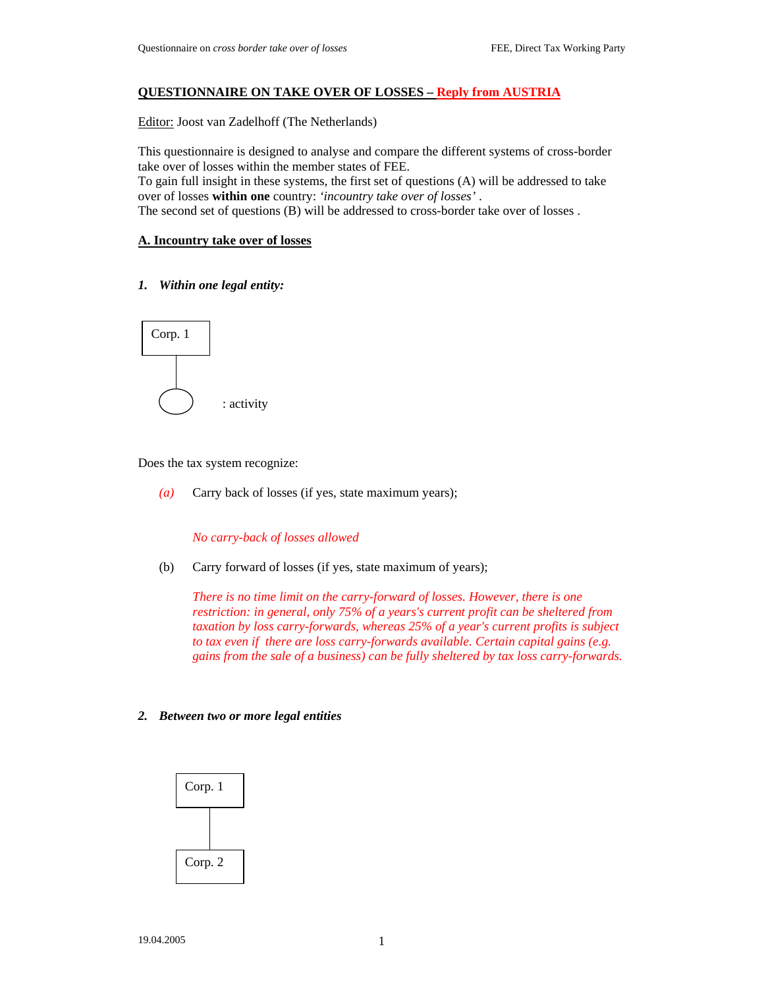## **QUESTIONNAIRE ON TAKE OVER OF LOSSES – Reply from AUSTRIA**

Editor: Joost van Zadelhoff (The Netherlands)

This questionnaire is designed to analyse and compare the different systems of cross-border take over of losses within the member states of FEE. To gain full insight in these systems, the first set of questions (A) will be addressed to take

over of losses **within one** country: *'incountry take over of losses'* . The second set of questions (B) will be addressed to cross-border take over of losses .

**A. Incountry take over of losses** 

### *1. Within one legal entity:*



Does the tax system recognize:

*(a)* Carry back of losses (if yes, state maximum years);

*No carry-back of losses allowed* 

(b) Carry forward of losses (if yes, state maximum of years);

*There is no time limit on the carry-forward of losses. However, there is one restriction: in general, only 75% of a years's current profit can be sheltered from taxation by loss carry-forwards, whereas 25% of a year's current profits is subject to tax even if there are loss carry-forwards available. Certain capital gains (e.g. gains from the sale of a business) can be fully sheltered by tax loss carry-forwards.* 

#### *2. Between two or more legal entities*

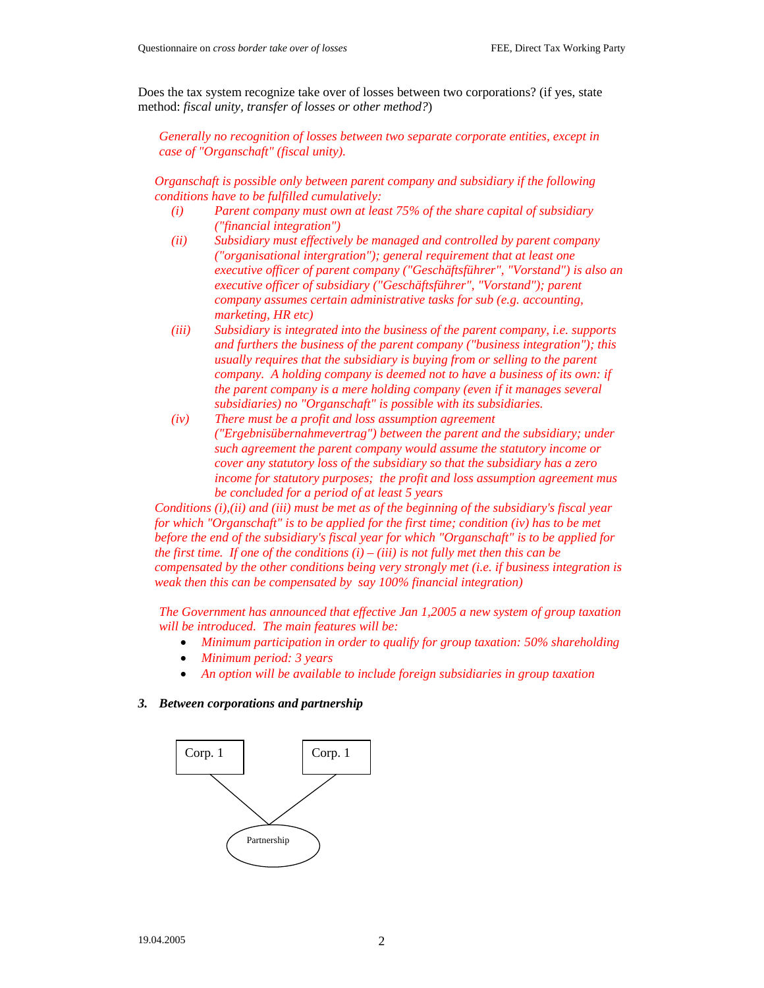Does the tax system recognize take over of losses between two corporations? (if yes, state method: *fiscal unity, transfer of losses or other method?*)

*Generally no recognition of losses between two separate corporate entities, except in case of "Organschaft" (fiscal unity).* 

*Organschaft is possible only between parent company and subsidiary if the following conditions have to be fulfilled cumulatively:* 

- *(i) Parent company must own at least 75% of the share capital of subsidiary ("financial integration")*
- *(ii) Subsidiary must effectively be managed and controlled by parent company ("organisational intergration"); general requirement that at least one executive officer of parent company ("Geschäftsführer", "Vorstand") is also an executive officer of subsidiary ("Geschäftsführer", "Vorstand"); parent company assumes certain administrative tasks for sub (e.g. accounting, marketing, HR etc)*
- *(iii) Subsidiary is integrated into the business of the parent company, i.e. supports and furthers the business of the parent company ("business integration"); this usually requires that the subsidiary is buying from or selling to the parent company. A holding company is deemed not to have a business of its own: if the parent company is a mere holding company (even if it manages several subsidiaries) no "Organschaft" is possible with its subsidiaries.*
- *(iv) There must be a profit and loss assumption agreement ("Ergebnisübernahmevertrag") between the parent and the subsidiary; under such agreement the parent company would assume the statutory income or cover any statutory loss of the subsidiary so that the subsidiary has a zero income for statutory purposes; the profit and loss assumption agreement mus be concluded for a period of at least 5 years*

*Conditions (i),(ii) and (iii) must be met as of the beginning of the subsidiary's fiscal year for which "Organschaft" is to be applied for the first time; condition (iv) has to be met before the end of the subsidiary's fiscal year for which "Organschaft" is to be applied for the first time. If one of the conditions*  $(i) - (iii)$  *is not fully met then this can be compensated by the other conditions being very strongly met (i.e. if business integration is weak then this can be compensated by say 100% financial integration)* 

*The Government has announced that effective Jan 1,2005 a new system of group taxation will be introduced. The main features will be:* 

- *Minimum participation in order to qualify for group taxation: 50% shareholding*
- *Minimum period: 3 years*
- *An option will be available to include foreign subsidiaries in group taxation*

#### *3. Between corporations and partnership*

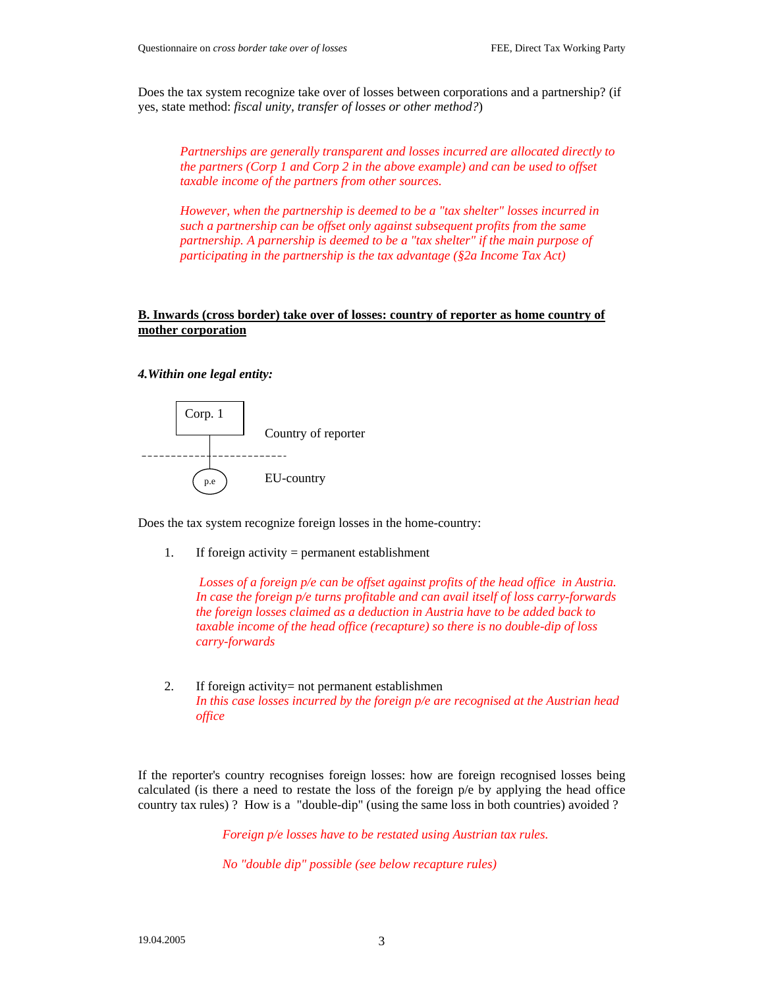Does the tax system recognize take over of losses between corporations and a partnership? (if yes, state method: *fiscal unity, transfer of losses or other method?*)

*Partnerships are generally transparent and losses incurred are allocated directly to the partners (Corp 1 and Corp 2 in the above example) and can be used to offset taxable income of the partners from other sources.* 

*However, when the partnership is deemed to be a "tax shelter" losses incurred in such a partnership can be offset only against subsequent profits from the same partnership. A parnership is deemed to be a "tax shelter" if the main purpose of participating in the partnership is the tax advantage (§2a Income Tax Act)*

## **B. Inwards (cross border) take over of losses: country of reporter as home country of mother corporation**

*4.Within one legal entity:* 



Does the tax system recognize foreign losses in the home-country:

1. If foreign activity = permanent establishment

 *Losses of a foreign p/e can be offset against profits of the head office in Austria. In case the foreign p/e turns profitable and can avail itself of loss carry-forwards the foreign losses claimed as a deduction in Austria have to be added back to taxable income of the head office (recapture) so there is no double-dip of loss carry-forwards* 

2. If foreign activity= not permanent establishmen *In this case losses incurred by the foreign p/e are recognised at the Austrian head office* 

If the reporter's country recognises foreign losses: how are foreign recognised losses being calculated (is there a need to restate the loss of the foreign p/e by applying the head office country tax rules) ? How is a "double-dip" (using the same loss in both countries) avoided ?

*Foreign p/e losses have to be restated using Austrian tax rules.* 

*No "double dip" possible (see below recapture rules)*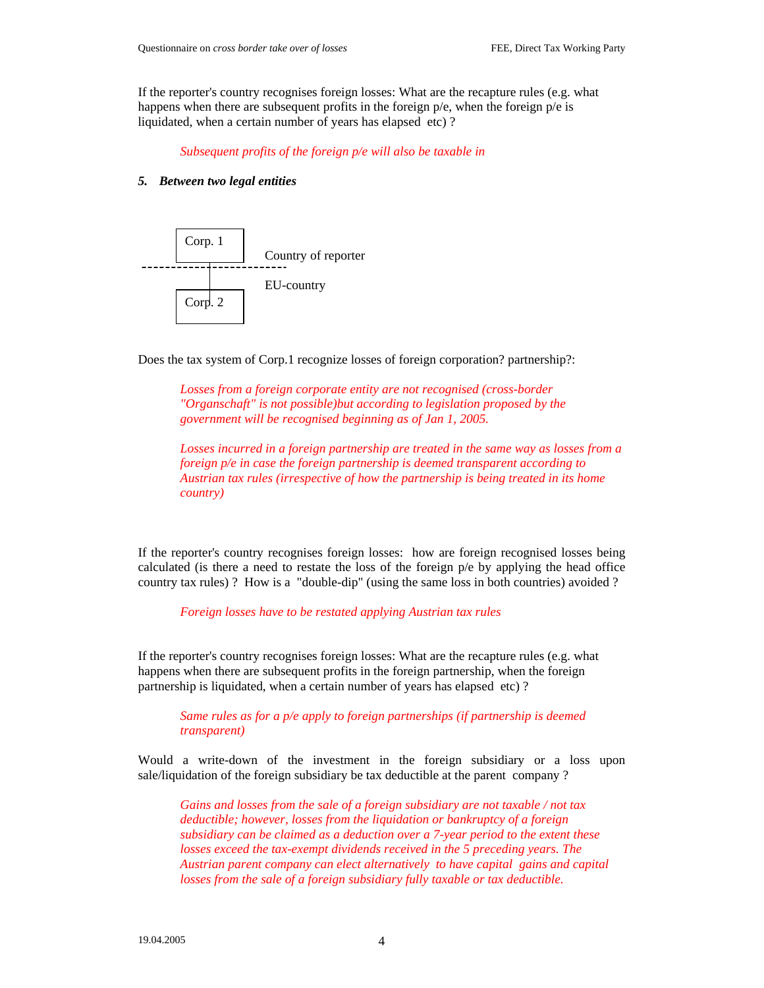If the reporter's country recognises foreign losses: What are the recapture rules (e.g. what happens when there are subsequent profits in the foreign p/e, when the foreign p/e is liquidated, when a certain number of years has elapsed etc) ?

*Subsequent profits of the foreign p/e will also be taxable in* 

#### *5. Between two legal entities*



Does the tax system of Corp.1 recognize losses of foreign corporation? partnership?:

*Losses from a foreign corporate entity are not recognised (cross-border "Organschaft" is not possible)but according to legislation proposed by the government will be recognised beginning as of Jan 1, 2005.* 

*Losses incurred in a foreign partnership are treated in the same way as losses from a foreign p/e in case the foreign partnership is deemed transparent according to Austrian tax rules (irrespective of how the partnership is being treated in its home country)* 

If the reporter's country recognises foreign losses: how are foreign recognised losses being calculated (is there a need to restate the loss of the foreign p/e by applying the head office country tax rules) ? How is a "double-dip" (using the same loss in both countries) avoided ?

*Foreign losses have to be restated applying Austrian tax rules* 

If the reporter's country recognises foreign losses: What are the recapture rules (e.g. what happens when there are subsequent profits in the foreign partnership, when the foreign partnership is liquidated, when a certain number of years has elapsed etc) ?

*Same rules as for a p/e apply to foreign partnerships (if partnership is deemed transparent)* 

Would a write-down of the investment in the foreign subsidiary or a loss upon sale/liquidation of the foreign subsidiary be tax deductible at the parent company ?

*Gains and losses from the sale of a foreign subsidiary are not taxable / not tax deductible; however, losses from the liquidation or bankruptcy of a foreign subsidiary can be claimed as a deduction over a 7-year period to the extent these losses exceed the tax-exempt dividends received in the 5 preceding years. The Austrian parent company can elect alternatively to have capital gains and capital losses from the sale of a foreign subsidiary fully taxable or tax deductible.*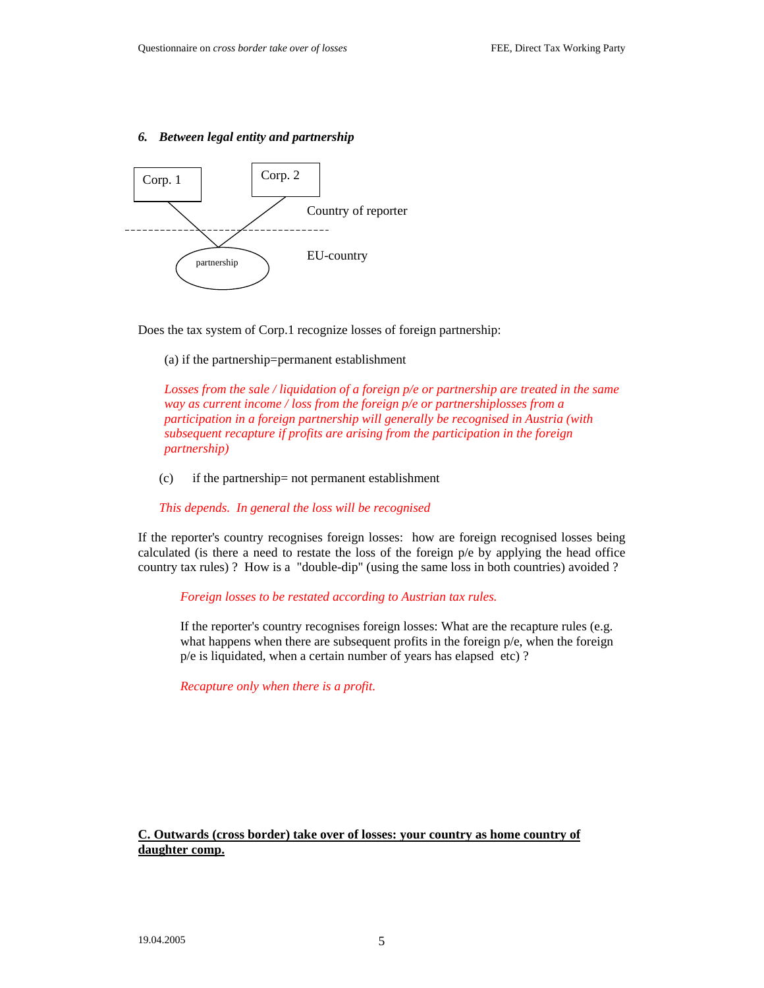### *6. Between legal entity and partnership*



Does the tax system of Corp.1 recognize losses of foreign partnership:

#### (a) if the partnership=permanent establishment

*Losses from the sale / liquidation of a foreign p/e or partnership are treated in the same way as current income / loss from the foreign p/e or partnershiplosses from a participation in a foreign partnership will generally be recognised in Austria (with subsequent recapture if profits are arising from the participation in the foreign partnership)*

(c) if the partnership= not permanent establishment

*This depends. In general the loss will be recognised* 

If the reporter's country recognises foreign losses: how are foreign recognised losses being calculated (is there a need to restate the loss of the foreign  $p/e$  by applying the head office country tax rules) ? How is a "double-dip" (using the same loss in both countries) avoided ?

#### *Foreign losses to be restated according to Austrian tax rules.*

If the reporter's country recognises foreign losses: What are the recapture rules (e.g. what happens when there are subsequent profits in the foreign  $p/e$ , when the foreign p/e is liquidated, when a certain number of years has elapsed etc) ?

*Recapture only when there is a profit.*

## **C. Outwards (cross border) take over of losses: your country as home country of daughter comp.**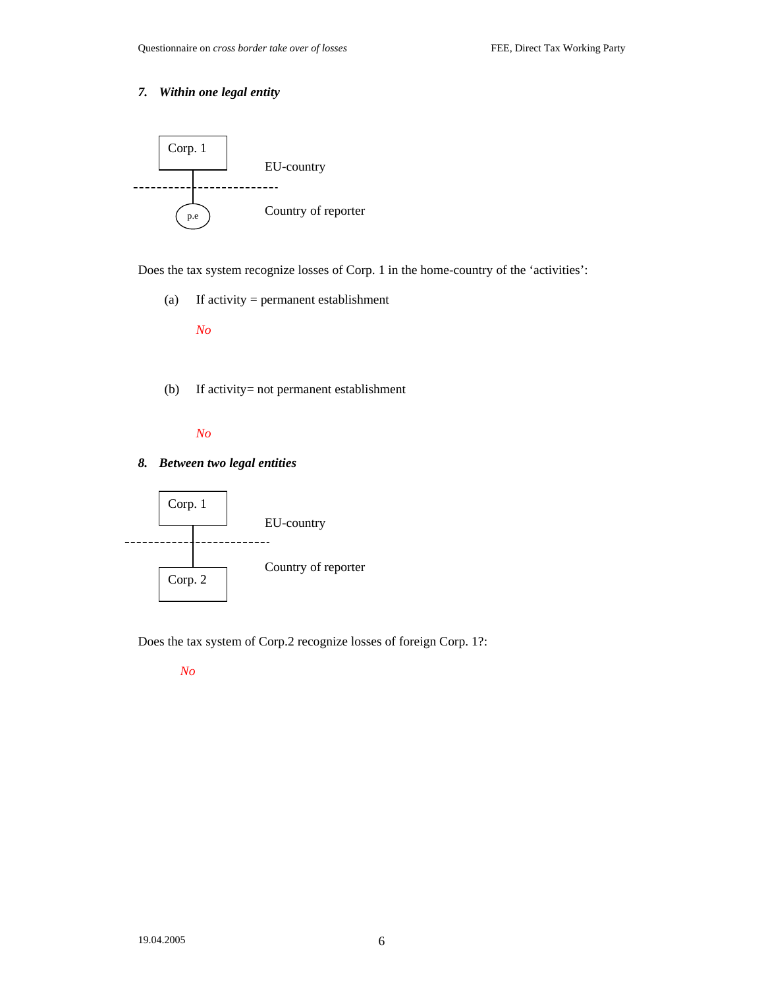# *7. Within one legal entity*



Does the tax system recognize losses of Corp. 1 in the home-country of the 'activities':

(a) If activity = permanent establishment

*No*

(b) If activity= not permanent establishment

*No* 

### *8. Between two legal entities*



Does the tax system of Corp.2 recognize losses of foreign Corp. 1?:

*No*